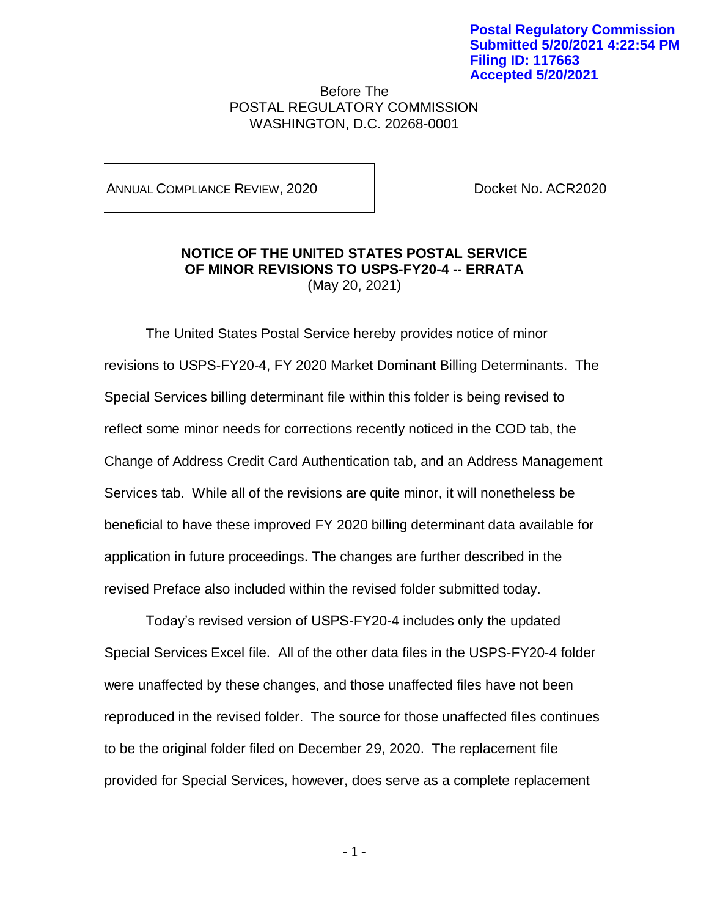Before The POSTAL REGULATORY COMMISSION WASHINGTON, D.C. 20268-0001

ANNUAL COMPLIANCE REVIEW, 2020 Docket No. ACR2020

## **NOTICE OF THE UNITED STATES POSTAL SERVICE OF MINOR REVISIONS TO USPS-FY20-4 -- ERRATA** (May 20, 2021)

The United States Postal Service hereby provides notice of minor revisions to USPS-FY20-4, FY 2020 Market Dominant Billing Determinants. The Special Services billing determinant file within this folder is being revised to reflect some minor needs for corrections recently noticed in the COD tab, the Change of Address Credit Card Authentication tab, and an Address Management Services tab. While all of the revisions are quite minor, it will nonetheless be beneficial to have these improved FY 2020 billing determinant data available for application in future proceedings. The changes are further described in the revised Preface also included within the revised folder submitted today.

Today's revised version of USPS-FY20-4 includes only the updated Special Services Excel file. All of the other data files in the USPS-FY20-4 folder were unaffected by these changes, and those unaffected files have not been reproduced in the revised folder. The source for those unaffected files continues to be the original folder filed on December 29, 2020. The replacement file provided for Special Services, however, does serve as a complete replacement

- 1 -